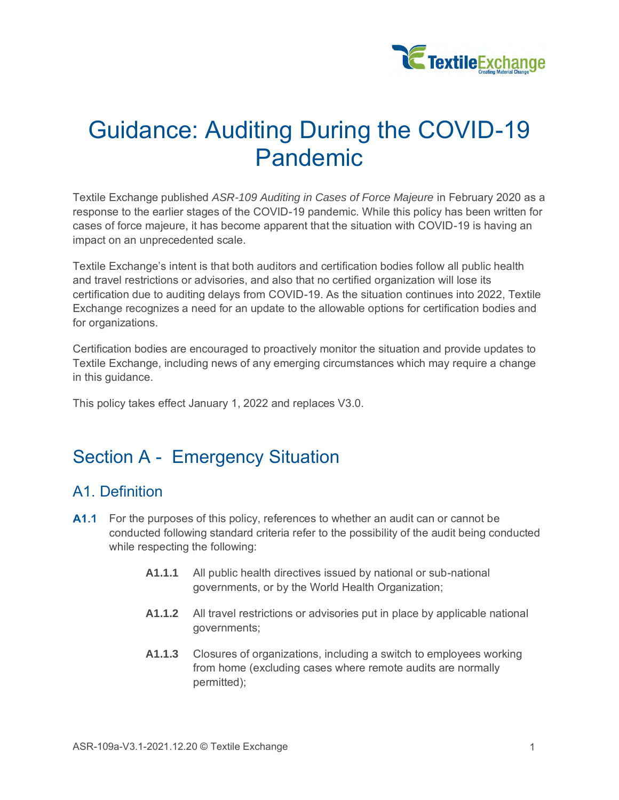

# Guidance: Auditing During the COVID-19 Pandemic

Textile Exchange published *ASR-109 Auditing in Cases of Force Majeure* in February 2020 as a response to the earlier stages of the COVID-19 pandemic. While this policy has been written for cases of force majeure, it has become apparent that the situation with COVID-19 is having an impact on an unprecedented scale.

Textile Exchange's intent is that both auditors and certification bodies follow all public health and travel restrictions or advisories, and also that no certified organization will lose its certification due to auditing delays from COVID-19. As the situation continues into 2022, Textile Exchange recognizes a need for an update to the allowable options for certification bodies and for organizations.

Certification bodies are encouraged to proactively monitor the situation and provide updates to Textile Exchange, including news of any emerging circumstances which may require a change in this guidance.

This policy takes effect January 1, 2022 and replaces V3.0.

### Section A - Emergency Situation

#### A1. Definition

- <span id="page-0-0"></span>**A1.1** For the purposes of this policy, references to whether an audit can or cannot be conducted following standard criteria refer to the possibility of the audit being conducted while respecting the following:
	- **A1.1.1** All public health directives issued by national or sub-national governments, or by the World Health Organization;
	- **A1.1.2** All travel restrictions or advisories put in place by applicable national governments;
	- **A1.1.3** Closures of organizations, including a switch to employees working from home (excluding cases where remote audits are normally permitted);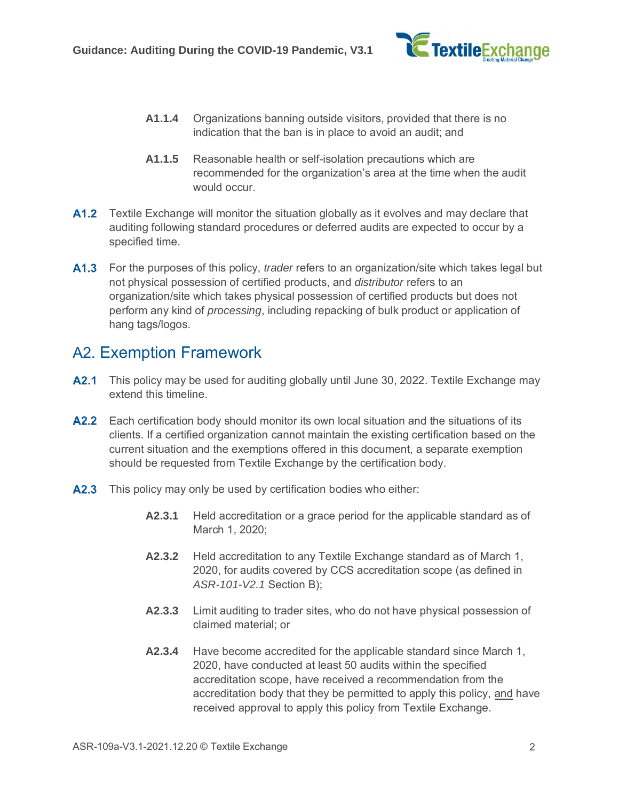

- **A1.1.4** Organizations banning outside visitors, provided that there is no indication that the ban is in place to avoid an audit; and
- **A1.1.5** Reasonable health or self-isolation precautions which are recommended for the organization's area at the time when the audit would occur.
- **A1.2** Textile Exchange will monitor the situation globally as it evolves and may declare that auditing following standard procedures or deferred audits are expected to occur by a specified time.
- For the purposes of this policy, *trader* refers to an organization/site which takes legal but not physical possession of certified products, and *distributor* refers to an organization/site which takes physical possession of certified products but does not perform any kind of *processing*, including repacking of bulk product or application of hang tags/logos.

#### A2. Exemption Framework

- A2.1 This policy may be used for auditing globally until June 30, 2022. Textile Exchange may extend this timeline.
- A2.2 Each certification body should monitor its own local situation and the situations of its clients. If a certified organization cannot maintain the existing certification based on the current situation and the exemptions offered in this document, a separate exemption should be requested from Textile Exchange by the certification body.
- A2.3 This policy may only be used by certification bodies who either:
	- **A2.3.1** Held accreditation or a grace period for the applicable standard as of March 1, 2020;
	- **A2.3.2** Held accreditation to any Textile Exchange standard as of March 1, 2020, for audits covered by CCS accreditation scope (as defined in *ASR-101-V2.1* Section B);
	- **A2.3.3** Limit auditing to trader sites, who do not have physical possession of claimed material; or
	- **A2.3.4** Have become accredited for the applicable standard since March 1, 2020, have conducted at least 50 audits within the specified accreditation scope, have received a recommendation from the accreditation body that they be permitted to apply this policy, and have received approval to apply this policy from Textile Exchange.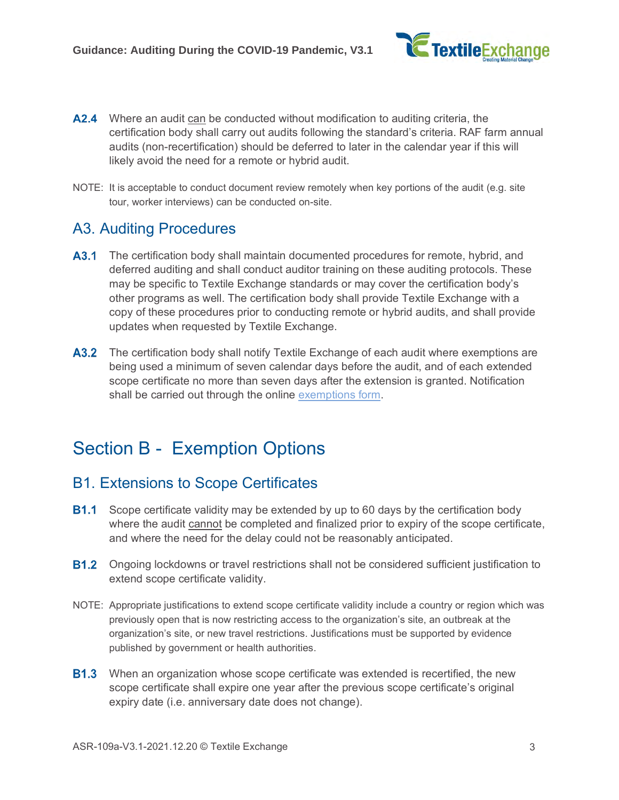

- **A2.4** Where an audit can be conducted without modification to auditing criteria, the certification body shall carry out audits following the standard's criteria. RAF farm annual audits (non-recertification) should be deferred to later in the calendar year if this will likely avoid the need for a remote or hybrid audit.
- NOTE: It is acceptable to conduct document review remotely when key portions of the audit (e.g. site tour, worker interviews) can be conducted on-site.

#### A3. Auditing Procedures

- A3.1 The certification body shall maintain documented procedures for remote, hybrid, and deferred auditing and shall conduct auditor training on these auditing protocols. These may be specific to Textile Exchange standards or may cover the certification body's other programs as well. The certification body shall provide Textile Exchange with a copy of these procedures prior to conducting remote or hybrid audits, and shall provide updates when requested by Textile Exchange.
- **A3.2** The certification body shall notify Textile Exchange of each audit where exemptions are being used a minimum of seven calendar days before the audit, and of each extended scope certificate no more than seven days after the extension is granted. Notification shall be carried out through the online [exemptions form.](https://www.jotform.com/210674576636262)

### Section B - Exemption Options

#### B1. Extensions to Scope Certificates

- **B1.1** Scope certificate validity may be extended by up to 60 days by the certification body where the audit cannot be completed and finalized prior to expiry of the scope certificate, and where the need for the delay could not be reasonably anticipated.
- **B1.2** Ongoing lockdowns or travel restrictions shall not be considered sufficient justification to extend scope certificate validity.
- NOTE: Appropriate justifications to extend scope certificate validity include a country or region which was previously open that is now restricting access to the organization's site, an outbreak at the organization's site, or new travel restrictions. Justifications must be supported by evidence published by government or health authorities.
- **B1.3** When an organization whose scope certificate was extended is recertified, the new scope certificate shall expire one year after the previous scope certificate's original expiry date (i.e. anniversary date does not change).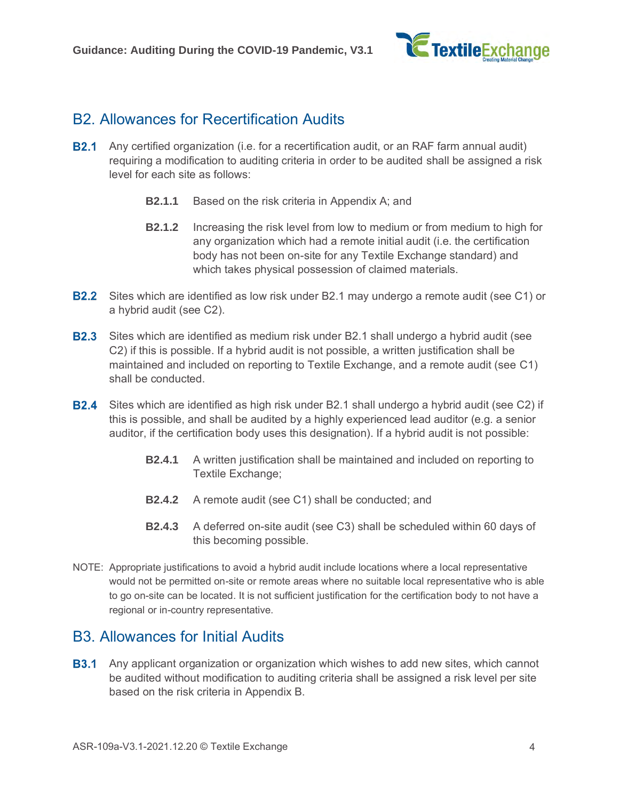

#### B2. Allowances for Recertification Audits

- <span id="page-3-0"></span>**B2.1** Any certified organization (i.e. for a recertification audit, or an RAF farm annual audit) requiring a modification to auditing criteria in order to be audited shall be assigned a risk level for each site as follows:
	- **B2.1.1** Based on the risk criteria in Appendix A; and
	- **B2.1.2** Increasing the risk level from low to medium or from medium to high for any organization which had a remote initial audit (i.e. the certification body has not been on-site for any Textile Exchange standard) and which takes physical possession of claimed materials.
- **B2.2** Sites which are identified as low risk under [B2.1](#page-3-0) may undergo a remote audit (see [C1\)](#page-5-0) or a hybrid audit (see [C2\)](#page-5-1).
- **B2.3** Sites which are identified as medium risk under [B2.1](#page-3-0) shall undergo a hybrid audit (see [C2\)](#page-5-1) if this is possible. If a hybrid audit is not possible, a written justification shall be maintained and included on reporting to Textile Exchange, and a remote audit (see [C1\)](#page-5-0) shall be conducted.
- <span id="page-3-2"></span>**B2.4** Sites which are identified as high risk under [B2.1](#page-3-0) shall undergo a hybrid audit (see [C2\)](#page-5-1) if this is possible, and shall be audited by a highly experienced lead auditor (e.g. a senior auditor, if the certification body uses this designation). If a hybrid audit is not possible:
	- **B2.4.1** A written justification shall be maintained and included on reporting to Textile Exchange;
	- **B2.4.2** A remote audit (see [C1\)](#page-5-0) shall be conducted; and
	- **B2.4.3** A deferred on-site audit (see [C3\)](#page-7-0) shall be scheduled within 60 days of this becoming possible.
- NOTE: Appropriate justifications to avoid a hybrid audit include locations where a local representative would not be permitted on-site or remote areas where no suitable local representative who is able to go on-site can be located. It is not sufficient justification for the certification body to not have a regional or in-country representative.

#### B3. Allowances for Initial Audits

<span id="page-3-1"></span>**B3.1** Any applicant organization or organization which wishes to add new sites, which cannot be audited without modification to auditing criteria shall be assigned a risk level per site based on the risk criteria in Appendix B.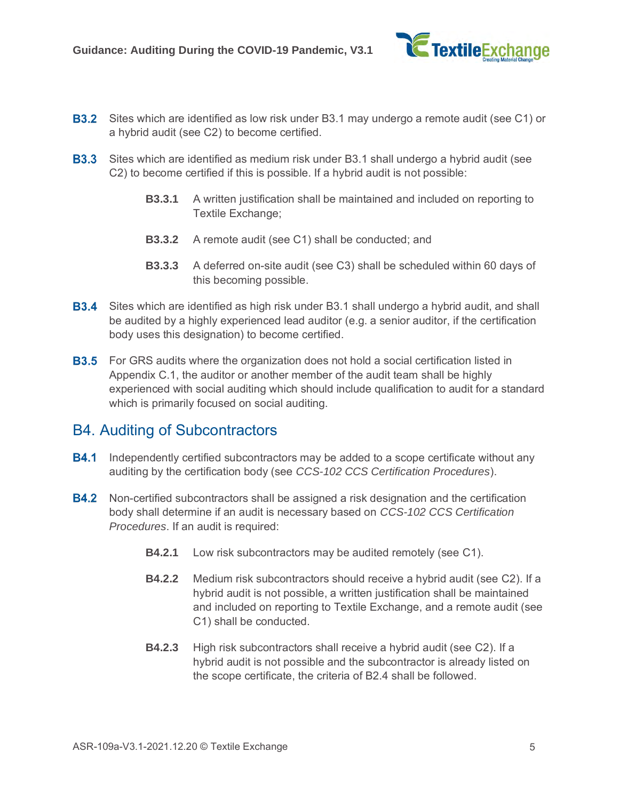

- **B3.2** Sites which are identified as low risk under [B3.1](#page-3-1) may undergo a remote audit (see [C1\)](#page-5-0) or a hybrid audit (see [C2\)](#page-5-1) to become certified.
- **B3.3** Sites which are identified as medium risk under [B3.1](#page-3-1) shall undergo a hybrid audit (see [C2\)](#page-5-1) to become certified if this is possible. If a hybrid audit is not possible:
	- **B3.3.1** A written justification shall be maintained and included on reporting to Textile Exchange;
	- **B3.3.2** A remote audit (see [C1\)](#page-5-0) shall be conducted; and
	- **B3.3.3** A deferred on-site audit (see [C3\)](#page-7-0) shall be scheduled within 60 days of this becoming possible.
- **B3.4** Sites which are identified as high risk under [B3.1](#page-3-1) shall undergo a hybrid audit, and shall be audited by a highly experienced lead auditor (e.g. a senior auditor, if the certification body uses this designation) to become certified.
- **B3.5** For GRS audits where the organization does not hold a social certification listed in Appendix C.1, the auditor or another member of the audit team shall be highly experienced with social auditing which should include qualification to audit for a standard which is primarily focused on social auditing.

#### B4. Auditing of Subcontractors

- **B4.1** Independently certified subcontractors may be added to a scope certificate without any auditing by the certification body (see *CCS-102 CCS Certification Procedures*).
- **B4.2** Non-certified subcontractors shall be assigned a risk designation and the certification body shall determine if an audit is necessary based on *CCS-102 CCS Certification Procedures*. If an audit is required:
	- **B4.2.1** Low risk subcontractors may be audited remotely (see [C1\)](#page-5-0).
	- **B4.2.2** Medium risk subcontractors should receive a hybrid audit (see [C2\)](#page-5-1). If a hybrid audit is not possible, a written justification shall be maintained and included on reporting to Textile Exchange, and a remote audit (see [C1\)](#page-5-0) shall be conducted.
	- **B4.2.3** High risk subcontractors shall receive a hybrid audit (see [C2\)](#page-5-1). If a hybrid audit is not possible and the subcontractor is already listed on the scope certificate, the criteria of [B2.4](#page-3-2) shall be followed.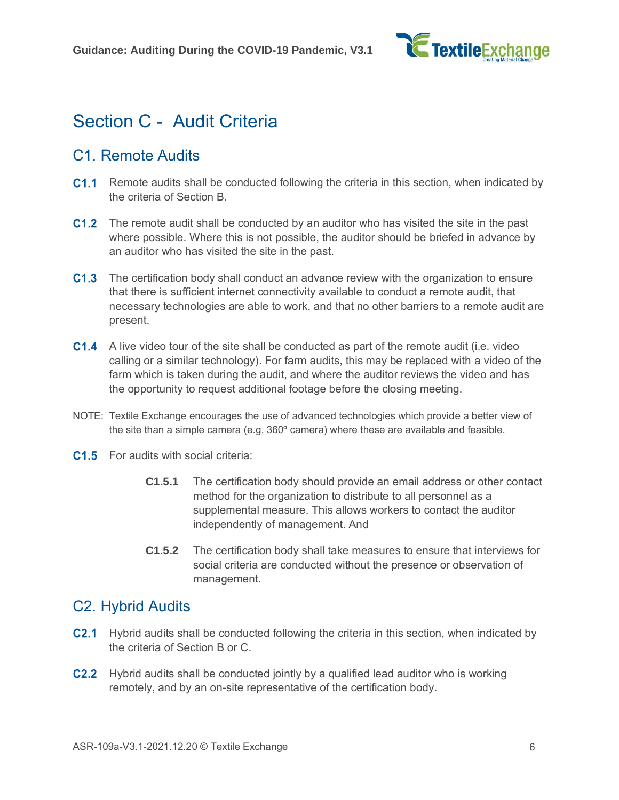

### Section C - Audit Criteria

#### <span id="page-5-0"></span>C1. Remote Audits

- **C1.1** Remote audits shall be conducted following the criteria in this section, when indicated by the criteria of Section B.
- **C1.2** The remote audit shall be conducted by an auditor who has visited the site in the past where possible. Where this is not possible, the auditor should be briefed in advance by an auditor who has visited the site in the past.
- C1.3 The certification body shall conduct an advance review with the organization to ensure that there is sufficient internet connectivity available to conduct a remote audit, that necessary technologies are able to work, and that no other barriers to a remote audit are present.
- **C1.4** A live video tour of the site shall be conducted as part of the remote audit (i.e. video calling or a similar technology). For farm audits, this may be replaced with a video of the farm which is taken during the audit, and where the auditor reviews the video and has the opportunity to request additional footage before the closing meeting.
- NOTE: Textile Exchange encourages the use of advanced technologies which provide a better view of the site than a simple camera (e.g.  $360^{\circ}$  camera) where these are available and feasible.
- **C1.5** For audits with social criteria:
	- **C1.5.1** The certification body should provide an email address or other contact method for the organization to distribute to all personnel as a supplemental measure. This allows workers to contact the auditor independently of management. And
	- **C1.5.2** The certification body shall take measures to ensure that interviews for social criteria are conducted without the presence or observation of management.

#### <span id="page-5-1"></span>C2. Hybrid Audits

- **C2.1** Hybrid audits shall be conducted following the criteria in this section, when indicated by the criteria of Section B or C.
- **C2.2** Hybrid audits shall be conducted jointly by a qualified lead auditor who is working remotely, and by an on-site representative of the certification body.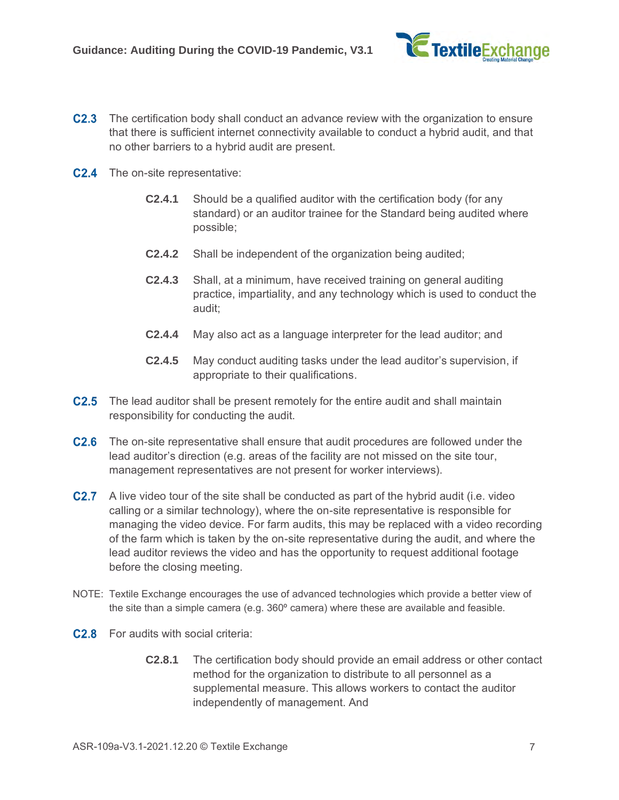

- **C2.3** The certification body shall conduct an advance review with the organization to ensure that there is sufficient internet connectivity available to conduct a hybrid audit, and that no other barriers to a hybrid audit are present.
- **C2.4** The on-site representative:
	- **C2.4.1** Should be a qualified auditor with the certification body (for any standard) or an auditor trainee for the Standard being audited where possible;
	- **C2.4.2** Shall be independent of the organization being audited;
	- **C2.4.3** Shall, at a minimum, have received training on general auditing practice, impartiality, and any technology which is used to conduct the audit;
	- **C2.4.4** May also act as a language interpreter for the lead auditor; and
	- **C2.4.5** May conduct auditing tasks under the lead auditor's supervision, if appropriate to their qualifications.
- **C2.5** The lead auditor shall be present remotely for the entire audit and shall maintain responsibility for conducting the audit.
- **C2.6** The on-site representative shall ensure that audit procedures are followed under the lead auditor's direction (e.g. areas of the facility are not missed on the site tour, management representatives are not present for worker interviews).
- **C2.7** A live video tour of the site shall be conducted as part of the hybrid audit (i.e. video calling or a similar technology), where the on-site representative is responsible for managing the video device. For farm audits, this may be replaced with a video recording of the farm which is taken by the on-site representative during the audit, and where the lead auditor reviews the video and has the opportunity to request additional footage before the closing meeting.
- NOTE: Textile Exchange encourages the use of advanced technologies which provide a better view of the site than a simple camera (e.g. 360º camera) where these are available and feasible.
- **C2.8** For audits with social criteria:
	- **C2.8.1** The certification body should provide an email address or other contact method for the organization to distribute to all personnel as a supplemental measure. This allows workers to contact the auditor independently of management. And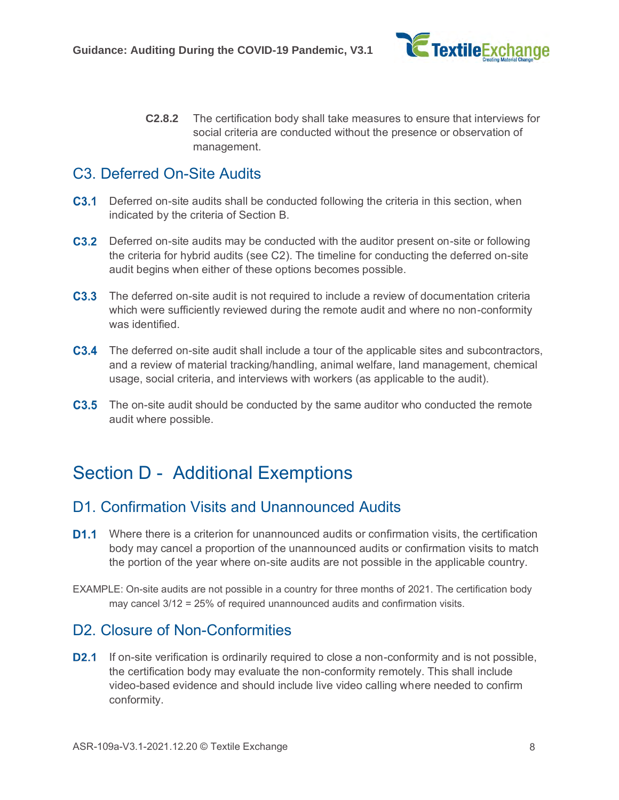

**C2.8.2** The certification body shall take measures to ensure that interviews for social criteria are conducted without the presence or observation of management.

#### <span id="page-7-0"></span>C3. Deferred On-Site Audits

- **C3.1** Deferred on-site audits shall be conducted following the criteria in this section, when indicated by the criteria of Section B.
- **C3.2** Deferred on-site audits may be conducted with the auditor present on-site or following the criteria for hybrid audits (see [C2\)](#page-5-1). The timeline for conducting the deferred on-site audit begins when either of these options becomes possible.
- **C3.3** The deferred on-site audit is not required to include a review of documentation criteria which were sufficiently reviewed during the remote audit and where no non-conformity was identified.
- **C3.4** The deferred on-site audit shall include a tour of the applicable sites and subcontractors, and a review of material tracking/handling, animal welfare, land management, chemical usage, social criteria, and interviews with workers (as applicable to the audit).
- **C3.5** The on-site audit should be conducted by the same auditor who conducted the remote audit where possible.

### Section D - Additional Exemptions

#### D1. Confirmation Visits and Unannounced Audits

- **D1.1** Where there is a criterion for unannounced audits or confirmation visits, the certification body may cancel a proportion of the unannounced audits or confirmation visits to match the portion of the year where on-site audits are not possible in the applicable country.
- EXAMPLE: On-site audits are not possible in a country for three months of 2021. The certification body may cancel 3/12 = 25% of required unannounced audits and confirmation visits.

#### D2. Closure of Non-Conformities

**D2.1** If on-site verification is ordinarily required to close a non-conformity and is not possible, the certification body may evaluate the non-conformity remotely. This shall include video-based evidence and should include live video calling where needed to confirm conformity.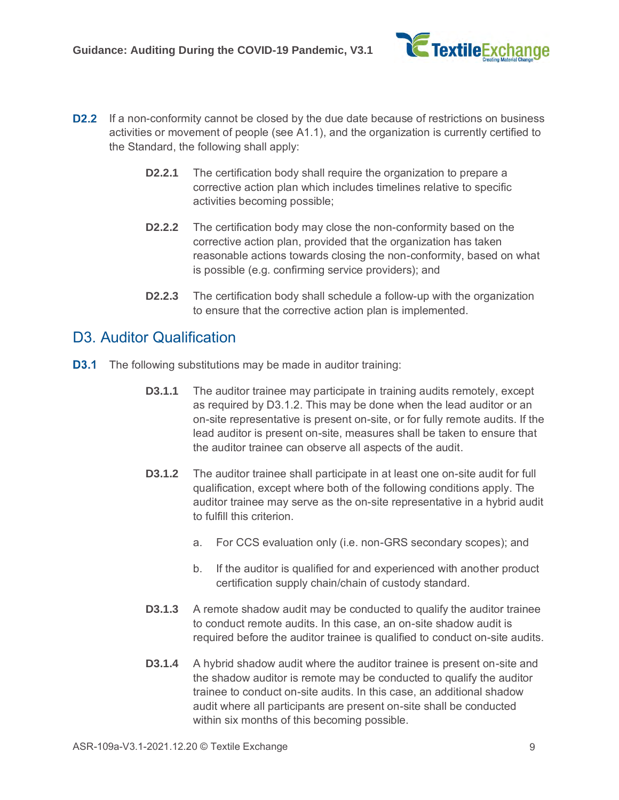

- **D2.2** If a non-conformity cannot be closed by the due date because of restrictions on business activities or movement of people (see [A1.1\)](#page-0-0), and the organization is currently certified to the Standard, the following shall apply:
	- **D2.2.1** The certification body shall require the organization to prepare a corrective action plan which includes timelines relative to specific activities becoming possible;
	- **D2.2.2** The certification body may close the non-conformity based on the corrective action plan, provided that the organization has taken reasonable actions towards closing the non-conformity, based on what is possible (e.g. confirming service providers); and
	- **D2.2.3** The certification body shall schedule a follow-up with the organization to ensure that the corrective action plan is implemented.

#### D<sub>3</sub>. Auditor Qualification

- <span id="page-8-0"></span>**D3.1** The following substitutions may be made in auditor training:
	- **D3.1.1** The auditor trainee may participate in training audits remotely, except as required by [D3.1.2.](#page-8-0) This may be done when the lead auditor or an on-site representative is present on-site, or for fully remote audits. If the lead auditor is present on-site, measures shall be taken to ensure that the auditor trainee can observe all aspects of the audit.
	- **D3.1.2** The auditor trainee shall participate in at least one on-site audit for full qualification, except where both of the following conditions apply. The auditor trainee may serve as the on-site representative in a hybrid audit to fulfill this criterion.
		- a. For CCS evaluation only (i.e. non-GRS secondary scopes); and
		- b. If the auditor is qualified for and experienced with another product certification supply chain/chain of custody standard.
	- **D3.1.3** A remote shadow audit may be conducted to qualify the auditor trainee to conduct remote audits. In this case, an on-site shadow audit is required before the auditor trainee is qualified to conduct on-site audits.
	- **D3.1.4** A hybrid shadow audit where the auditor trainee is present on-site and the shadow auditor is remote may be conducted to qualify the auditor trainee to conduct on-site audits. In this case, an additional shadow audit where all participants are present on-site shall be conducted within six months of this becoming possible.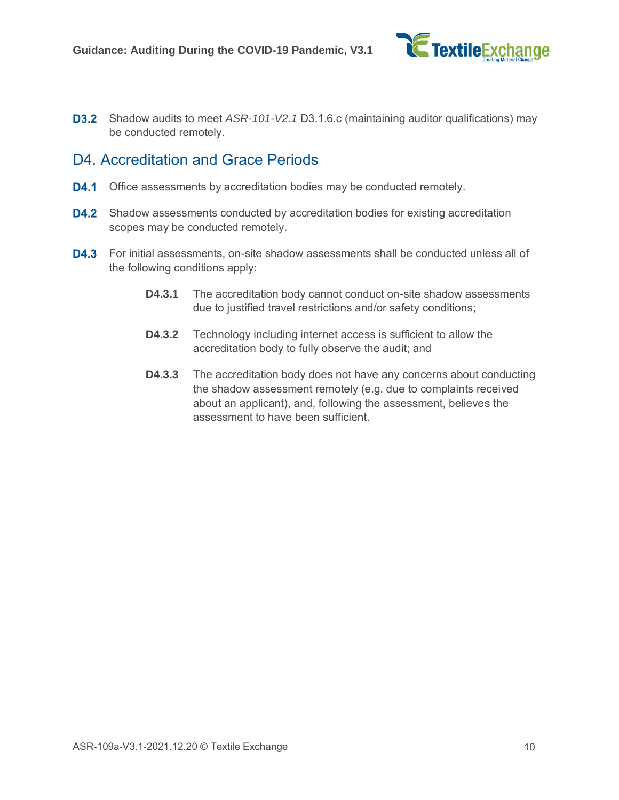

**D3.2** Shadow audits to meet *ASR-101-V2.1* D3.1.6.c (maintaining auditor qualifications) may be conducted remotely.

#### D4. Accreditation and Grace Periods

- **D4.1** Office assessments by accreditation bodies may be conducted remotely.
- **D4.2** Shadow assessments conducted by accreditation bodies for existing accreditation scopes may be conducted remotely.
- **D4.3** For initial assessments, on-site shadow assessments shall be conducted unless all of the following conditions apply:
	- **D4.3.1** The accreditation body cannot conduct on-site shadow assessments due to justified travel restrictions and/or safety conditions;
	- **D4.3.2** Technology including internet access is sufficient to allow the accreditation body to fully observe the audit; and
	- **D4.3.3** The accreditation body does not have any concerns about conducting the shadow assessment remotely (e.g. due to complaints received about an applicant), and, following the assessment, believes the assessment to have been sufficient.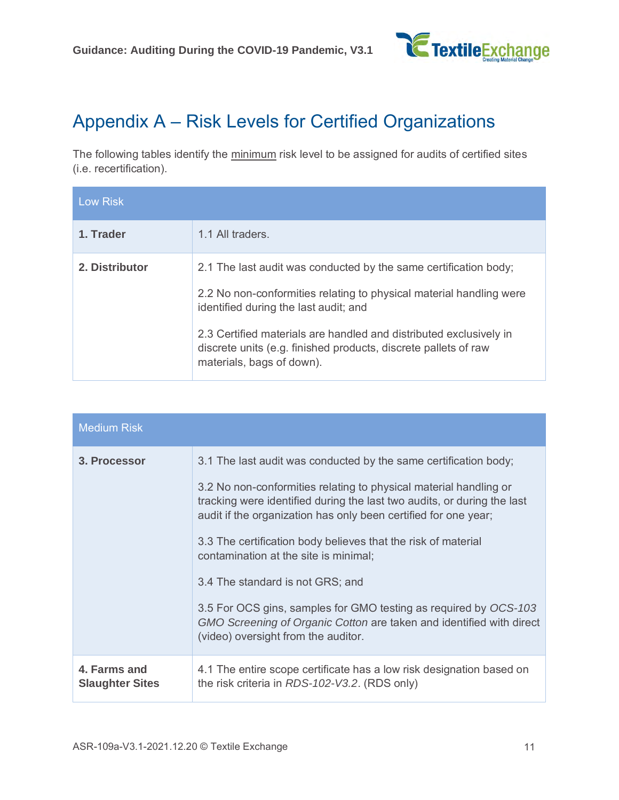

## Appendix A – Risk Levels for Certified Organizations

The following tables identify the minimum risk level to be assigned for audits of certified sites (i.e. recertification).

| <b>Low Risk</b> |                                                                                                                                                                                                                                                                                                                                                        |
|-----------------|--------------------------------------------------------------------------------------------------------------------------------------------------------------------------------------------------------------------------------------------------------------------------------------------------------------------------------------------------------|
| 1. Trader       | 1.1 All traders.                                                                                                                                                                                                                                                                                                                                       |
| 2. Distributor  | 2.1 The last audit was conducted by the same certification body;<br>2.2 No non-conformities relating to physical material handling were<br>identified during the last audit; and<br>2.3 Certified materials are handled and distributed exclusively in<br>discrete units (e.g. finished products, discrete pallets of raw<br>materials, bags of down). |

| <b>Medium Risk</b>                     |                                                                                                                                                                                                                 |
|----------------------------------------|-----------------------------------------------------------------------------------------------------------------------------------------------------------------------------------------------------------------|
| 3. Processor                           | 3.1 The last audit was conducted by the same certification body;                                                                                                                                                |
|                                        | 3.2 No non-conformities relating to physical material handling or<br>tracking were identified during the last two audits, or during the last<br>audit if the organization has only been certified for one year; |
|                                        | 3.3 The certification body believes that the risk of material<br>contamination at the site is minimal;                                                                                                          |
|                                        | 3.4 The standard is not GRS; and                                                                                                                                                                                |
|                                        | 3.5 For OCS gins, samples for GMO testing as required by OCS-103<br>GMO Screening of Organic Cotton are taken and identified with direct<br>(video) oversight from the auditor.                                 |
| 4. Farms and<br><b>Slaughter Sites</b> | 4.1 The entire scope certificate has a low risk designation based on<br>the risk criteria in RDS-102-V3.2. (RDS only)                                                                                           |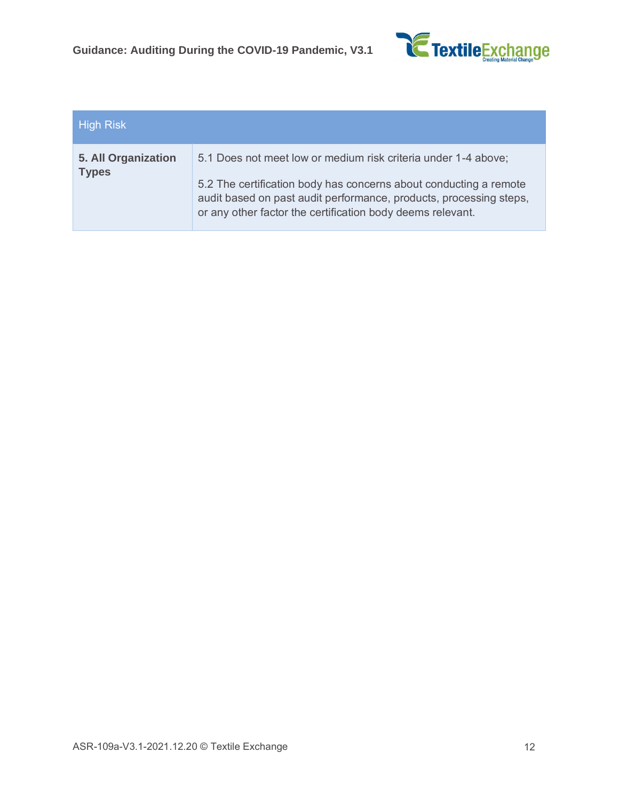

| <b>High Risk</b>                    |                                                                                                                                                                                                                                                                         |
|-------------------------------------|-------------------------------------------------------------------------------------------------------------------------------------------------------------------------------------------------------------------------------------------------------------------------|
| 5. All Organization<br><b>Types</b> | 5.1 Does not meet low or medium risk criteria under 1-4 above;<br>5.2 The certification body has concerns about conducting a remote<br>audit based on past audit performance, products, processing steps,<br>or any other factor the certification body deems relevant. |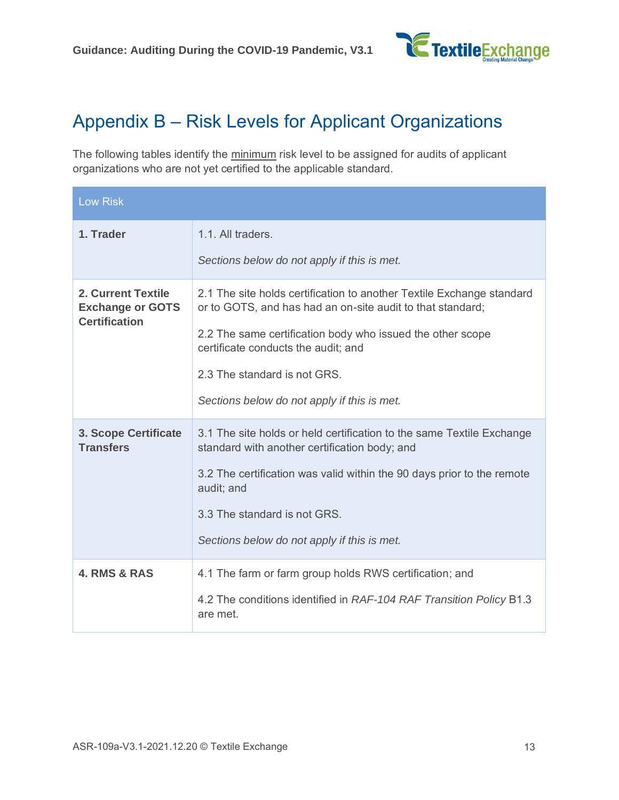

## Appendix B – Risk Levels for Applicant Organizations

The following tables identify the minimum risk level to be assigned for audits of applicant organizations who are not yet certified to the applicable standard.

| <b>Low Risk</b>                                                       |                                                                                                                                     |
|-----------------------------------------------------------------------|-------------------------------------------------------------------------------------------------------------------------------------|
| 1. Trader                                                             | 1.1. All traders.                                                                                                                   |
|                                                                       | Sections below do not apply if this is met.                                                                                         |
| 2. Current Textile<br><b>Exchange or GOTS</b><br><b>Certification</b> | 2.1 The site holds certification to another Textile Exchange standard<br>or to GOTS, and has had an on-site audit to that standard; |
|                                                                       | 2.2 The same certification body who issued the other scope<br>certificate conducts the audit; and                                   |
|                                                                       | 2.3 The standard is not GRS.                                                                                                        |
|                                                                       | Sections below do not apply if this is met.                                                                                         |
| <b>3. Scope Certificate</b><br><b>Transfers</b>                       | 3.1 The site holds or held certification to the same Textile Exchange<br>standard with another certification body; and              |
|                                                                       | 3.2 The certification was valid within the 90 days prior to the remote<br>audit; and                                                |
|                                                                       | 3.3 The standard is not GRS.                                                                                                        |
|                                                                       | Sections below do not apply if this is met.                                                                                         |
| <b>4. RMS &amp; RAS</b>                                               | 4.1 The farm or farm group holds RWS certification; and                                                                             |
|                                                                       | 4.2 The conditions identified in RAF-104 RAF Transition Policy B1.3<br>are met.                                                     |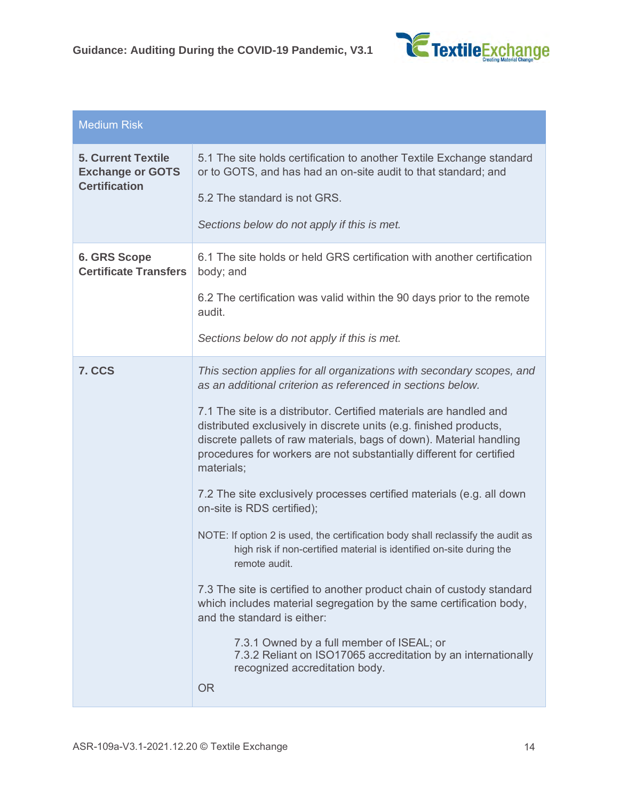

| <b>Medium Risk</b>                                                           |                                                                                                                                                                                                                                                                                                       |
|------------------------------------------------------------------------------|-------------------------------------------------------------------------------------------------------------------------------------------------------------------------------------------------------------------------------------------------------------------------------------------------------|
| <b>5. Current Textile</b><br><b>Exchange or GOTS</b><br><b>Certification</b> | 5.1 The site holds certification to another Textile Exchange standard<br>or to GOTS, and has had an on-site audit to that standard; and                                                                                                                                                               |
|                                                                              | 5.2 The standard is not GRS.                                                                                                                                                                                                                                                                          |
|                                                                              | Sections below do not apply if this is met.                                                                                                                                                                                                                                                           |
| <b>6. GRS Scope</b><br><b>Certificate Transfers</b>                          | 6.1 The site holds or held GRS certification with another certification<br>body; and                                                                                                                                                                                                                  |
|                                                                              | 6.2 The certification was valid within the 90 days prior to the remote<br>audit.                                                                                                                                                                                                                      |
|                                                                              | Sections below do not apply if this is met.                                                                                                                                                                                                                                                           |
| 7. CCS                                                                       | This section applies for all organizations with secondary scopes, and<br>as an additional criterion as referenced in sections below.                                                                                                                                                                  |
|                                                                              | 7.1 The site is a distributor. Certified materials are handled and<br>distributed exclusively in discrete units (e.g. finished products,<br>discrete pallets of raw materials, bags of down). Material handling<br>procedures for workers are not substantially different for certified<br>materials; |
|                                                                              | 7.2 The site exclusively processes certified materials (e.g. all down<br>on-site is RDS certified);                                                                                                                                                                                                   |
|                                                                              | NOTE: If option 2 is used, the certification body shall reclassify the audit as<br>high risk if non-certified material is identified on-site during the<br>remote audit.                                                                                                                              |
|                                                                              | 7.3 The site is certified to another product chain of custody standard<br>which includes material segregation by the same certification body,<br>and the standard is either:                                                                                                                          |
|                                                                              | 7.3.1 Owned by a full member of ISEAL; or<br>7.3.2 Reliant on ISO17065 accreditation by an internationally<br>recognized accreditation body.<br><b>OR</b>                                                                                                                                             |
|                                                                              |                                                                                                                                                                                                                                                                                                       |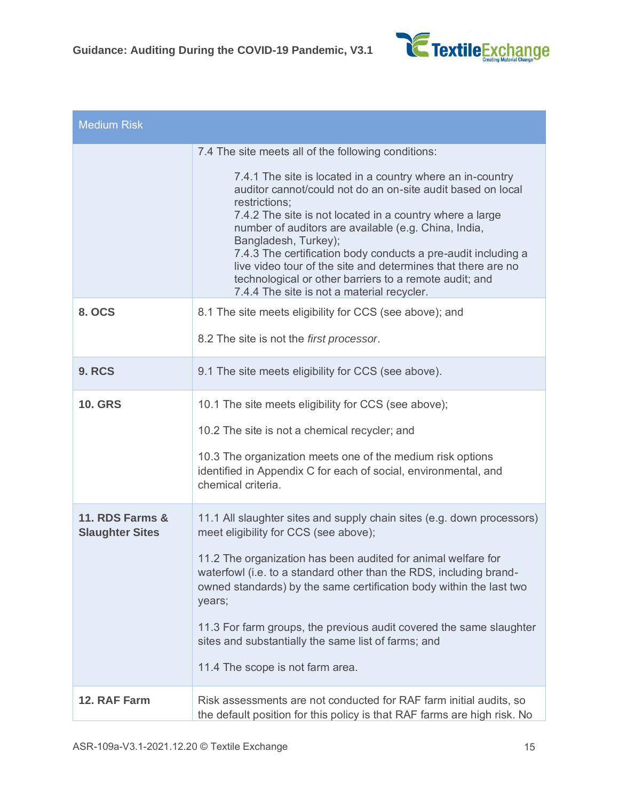

| <b>Medium Risk</b>                        |                                                                                                                                                                                                                                                                                                                                                                                                                                                                                                                                                                                        |
|-------------------------------------------|----------------------------------------------------------------------------------------------------------------------------------------------------------------------------------------------------------------------------------------------------------------------------------------------------------------------------------------------------------------------------------------------------------------------------------------------------------------------------------------------------------------------------------------------------------------------------------------|
|                                           | 7.4 The site meets all of the following conditions:<br>7.4.1 The site is located in a country where an in-country<br>auditor cannot/could not do an on-site audit based on local<br>restrictions;<br>7.4.2 The site is not located in a country where a large<br>number of auditors are available (e.g. China, India,<br>Bangladesh, Turkey);<br>7.4.3 The certification body conducts a pre-audit including a<br>live video tour of the site and determines that there are no<br>technological or other barriers to a remote audit; and<br>7.4.4 The site is not a material recycler. |
| <b>8. OCS</b>                             | 8.1 The site meets eligibility for CCS (see above); and<br>8.2 The site is not the first processor.                                                                                                                                                                                                                                                                                                                                                                                                                                                                                    |
| <b>9. RCS</b>                             | 9.1 The site meets eligibility for CCS (see above).                                                                                                                                                                                                                                                                                                                                                                                                                                                                                                                                    |
| <b>10. GRS</b>                            | 10.1 The site meets eligibility for CCS (see above);<br>10.2 The site is not a chemical recycler; and<br>10.3 The organization meets one of the medium risk options<br>identified in Appendix C for each of social, environmental, and<br>chemical criteria.                                                                                                                                                                                                                                                                                                                           |
| 11. RDS Farms &<br><b>Slaughter Sites</b> | 11.1 All slaughter sites and supply chain sites (e.g. down processors)<br>meet eligibility for CCS (see above);<br>11.2 The organization has been audited for animal welfare for<br>waterfowl (i.e. to a standard other than the RDS, including brand-<br>owned standards) by the same certification body within the last two<br>years;<br>11.3 For farm groups, the previous audit covered the same slaughter<br>sites and substantially the same list of farms; and<br>11.4 The scope is not farm area.                                                                              |
| 12. RAF Farm                              | Risk assessments are not conducted for RAF farm initial audits, so<br>the default position for this policy is that RAF farms are high risk. No                                                                                                                                                                                                                                                                                                                                                                                                                                         |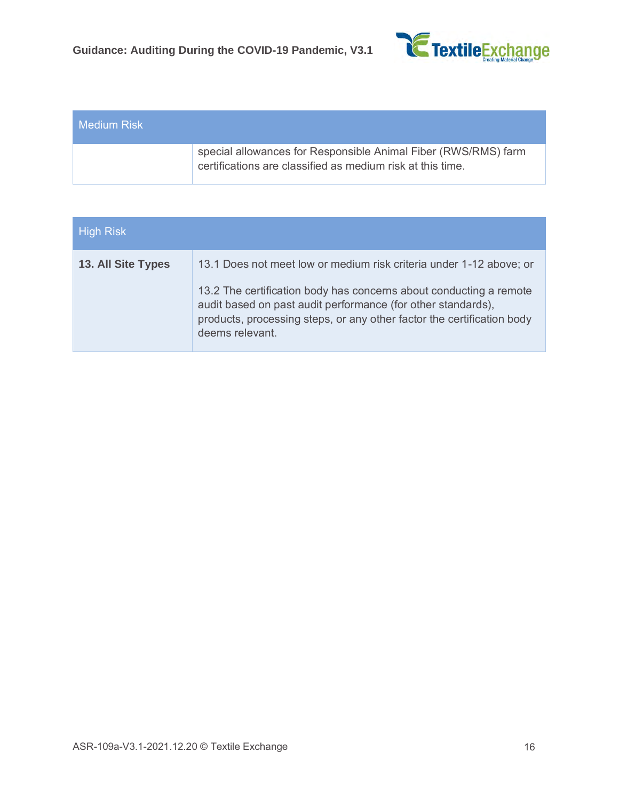

| ∟Medium Risk <sup>i</sup> |                                                                                                                              |
|---------------------------|------------------------------------------------------------------------------------------------------------------------------|
|                           | special allowances for Responsible Animal Fiber (RWS/RMS) farm<br>certifications are classified as medium risk at this time. |

| <b>High Risk</b>          |                                                                                                                                                                                                                                 |
|---------------------------|---------------------------------------------------------------------------------------------------------------------------------------------------------------------------------------------------------------------------------|
| <b>13. All Site Types</b> | 13.1 Does not meet low or medium risk criteria under 1-12 above; or                                                                                                                                                             |
|                           | 13.2 The certification body has concerns about conducting a remote<br>audit based on past audit performance (for other standards),<br>products, processing steps, or any other factor the certification body<br>deems relevant. |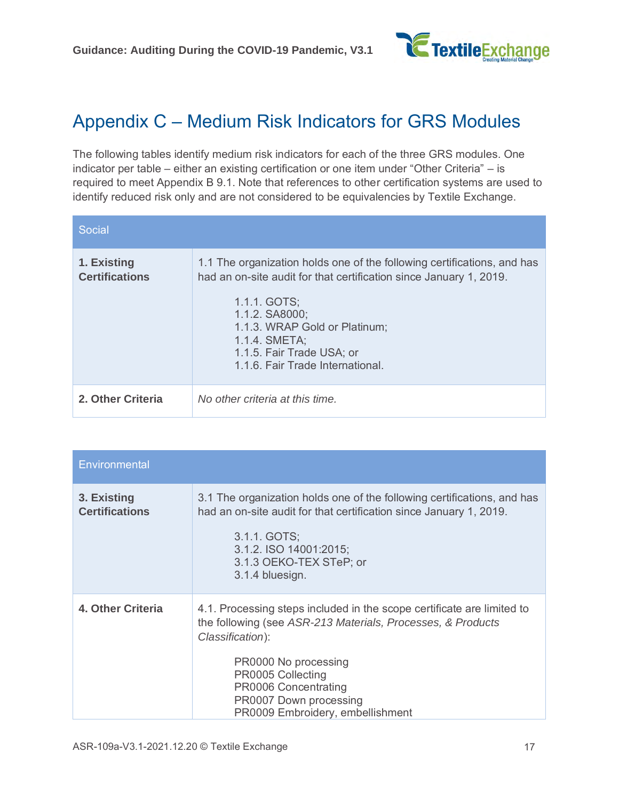

### Appendix C – Medium Risk Indicators for GRS Modules

The following tables identify medium risk indicators for each of the three GRS modules. One indicator per table – either an existing certification or one item under "Other Criteria" – is required to meet Appendix B 9.1. Note that references to other certification systems are used to identify reduced risk only and are not considered to be equivalencies by Textile Exchange.

| Social                               |                                                                                                                                                                                                                                                                                                    |
|--------------------------------------|----------------------------------------------------------------------------------------------------------------------------------------------------------------------------------------------------------------------------------------------------------------------------------------------------|
| 1. Existing<br><b>Certifications</b> | 1.1 The organization holds one of the following certifications, and has<br>had an on-site audit for that certification since January 1, 2019.<br>1.1.1. GOTS;<br>1.1.2. SA8000;<br>1.1.3. WRAP Gold or Platinum;<br>1.1.4. SMETA;<br>1.1.5. Fair Trade USA; or<br>1.1.6. Fair Trade International. |
| 2. Other Criteria                    | No other criteria at this time.                                                                                                                                                                                                                                                                    |

| Environmental                        |                                                                                                                                                                                                                                                                                              |
|--------------------------------------|----------------------------------------------------------------------------------------------------------------------------------------------------------------------------------------------------------------------------------------------------------------------------------------------|
| 3. Existing<br><b>Certifications</b> | 3.1 The organization holds one of the following certifications, and has<br>had an on-site audit for that certification since January 1, 2019.<br>3.1.1. GOTS;<br>3.1.2. ISO 14001:2015;<br>3.1.3 OEKO-TEX STeP; or<br>3.1.4 bluesign.                                                        |
| 4. Other Criteria                    | 4.1. Processing steps included in the scope certificate are limited to<br>the following (see ASR-213 Materials, Processes, & Products<br>Classification):<br>PR0000 No processing<br>PR0005 Collecting<br>PR0006 Concentrating<br>PR0007 Down processing<br>PR0009 Embroidery, embellishment |